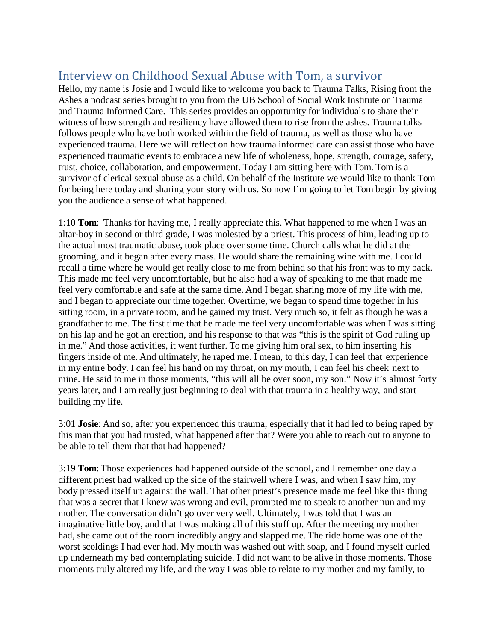## Interview on Childhood Sexual Abuse with Tom, a survivor

Hello, my name is Josie and I would like to welcome you back to Trauma Talks, Rising from the Ashes a podcast series brought to you from the UB School of Social Work Institute on Trauma and Trauma Informed Care. This series provides an opportunity for individuals to share their witness of how strength and resiliency have allowed them to rise from the ashes. Trauma talks follows people who have both worked within the field of trauma, as well as those who have experienced trauma. Here we will reflect on how trauma informed care can assist those who have experienced traumatic events to embrace a new life of wholeness, hope, strength, courage, safety, trust, choice, collaboration, and empowerment. Today I am sitting here with Tom. Tom is a survivor of clerical sexual abuse as a child. On behalf of the Institute we would like to thank Tom for being here today and sharing your story with us. So now I'm going to let Tom begin by giving you the audience a sense of what happened.

1:10 **Tom**: Thanks for having me, I really appreciate this. What happened to me when I was an altar-boy in second or third grade, I was molested by a priest. This process of him, leading up to the actual most traumatic abuse, took place over some time. Church calls what he did at the grooming, and it began after every mass. He would share the remaining wine with me. I could recall a time where he would get really close to me from behind so that his front was to my back. This made me feel very uncomfortable, but he also had a way of speaking to me that made me feel very comfortable and safe at the same time. And I began sharing more of my life with me, and I began to appreciate our time together. Overtime, we began to spend time together in his sitting room, in a private room, and he gained my trust. Very much so, it felt as though he was a grandfather to me. The first time that he made me feel very uncomfortable was when I was sitting on his lap and he got an erection, and his response to that was "this is the spirit of God ruling up in me." And those activities, it went further. To me giving him oral sex, to him inserting his fingers inside of me. And ultimately, he raped me. I mean, to this day, I can feel that experience in my entire body. I can feel his hand on my throat, on my mouth, I can feel his cheek next to mine. He said to me in those moments, "this will all be over soon, my son." Now it's almost forty years later, and I am really just beginning to deal with that trauma in a healthy way, and start building my life.

3:01 **Josie**: And so, after you experienced this trauma, especially that it had led to being raped by this man that you had trusted, what happened after that? Were you able to reach out to anyone to be able to tell them that that had happened?

3:19 **Tom**: Those experiences had happened outside of the school, and I remember one day a different priest had walked up the side of the stairwell where I was, and when I saw him, my body pressed itself up against the wall. That other priest's presence made me feel like this thing that was a secret that I knew was wrong and evil, prompted me to speak to another nun and my mother. The conversation didn't go over very well. Ultimately, I was told that I was an imaginative little boy, and that I was making all of this stuff up. After the meeting my mother had, she came out of the room incredibly angry and slapped me. The ride home was one of the worst scoldings I had ever had. My mouth was washed out with soap, and I found myself curled up underneath my bed contemplating suicide. I did not want to be alive in those moments. Those moments truly altered my life, and the way I was able to relate to my mother and my family, to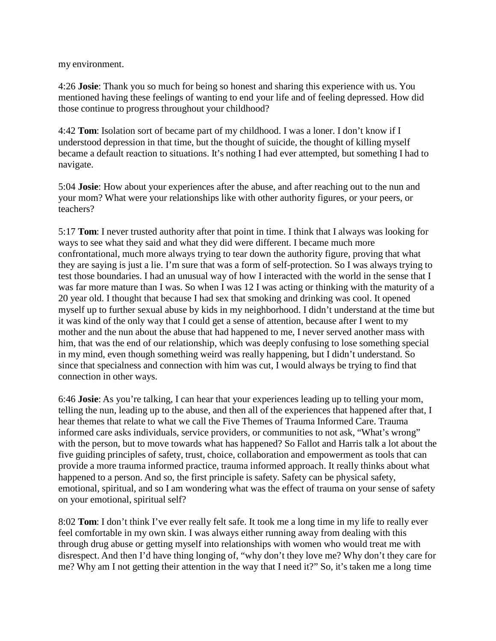my environment.

4:26 **Josie**: Thank you so much for being so honest and sharing this experience with us. You mentioned having these feelings of wanting to end your life and of feeling depressed. How did those continue to progress throughout your childhood?

4:42 **Tom**: Isolation sort of became part of my childhood. I was a loner. I don't know if I understood depression in that time, but the thought of suicide, the thought of killing myself became a default reaction to situations. It's nothing I had ever attempted, but something I had to navigate.

5:04 **Josie**: How about your experiences after the abuse, and after reaching out to the nun and your mom? What were your relationships like with other authority figures, or your peers, or teachers?

5:17 **Tom**: I never trusted authority after that point in time. I think that I always was looking for ways to see what they said and what they did were different. I became much more confrontational, much more always trying to tear down the authority figure, proving that what they are saying is just a lie. I'm sure that was a form of self-protection. So I was always trying to test those boundaries. I had an unusual way of how I interacted with the world in the sense that I was far more mature than I was. So when I was 12 I was acting or thinking with the maturity of a 20 year old. I thought that because I had sex that smoking and drinking was cool. It opened myself up to further sexual abuse by kids in my neighborhood. I didn't understand at the time but it was kind of the only way that I could get a sense of attention, because after I went to my mother and the nun about the abuse that had happened to me, I never served another mass with him, that was the end of our relationship, which was deeply confusing to lose something special in my mind, even though something weird was really happening, but I didn't understand. So since that specialness and connection with him was cut, I would always be trying to find that connection in other ways.

6:46 **Josie**: As you're talking, I can hear that your experiences leading up to telling your mom, telling the nun, leading up to the abuse, and then all of the experiences that happened after that, I hear themes that relate to what we call the Five Themes of Trauma Informed Care. Trauma informed care asks individuals, service providers, or communities to not ask, "What's wrong" with the person, but to move towards what has happened? So Fallot and Harris talk a lot about the five guiding principles of safety, trust, choice, collaboration and empowerment as tools that can provide a more trauma informed practice, trauma informed approach. It really thinks about what happened to a person. And so, the first principle is safety. Safety can be physical safety, emotional, spiritual, and so I am wondering what was the effect of trauma on your sense of safety on your emotional, spiritual self?

8:02 **Tom**: I don't think I've ever really felt safe. It took me a long time in my life to really ever feel comfortable in my own skin. I was always either running away from dealing with this through drug abuse or getting myself into relationships with women who would treat me with disrespect. And then I'd have thing longing of, "why don't they love me? Why don't they care for me? Why am I not getting their attention in the way that I need it?" So, it's taken me a long time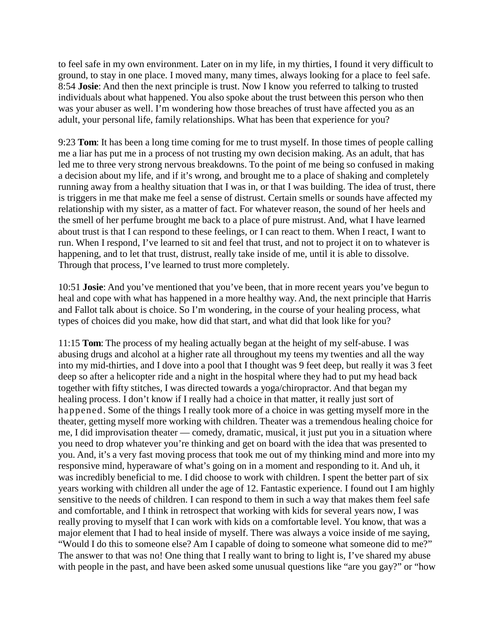to feel safe in my own environment. Later on in my life, in my thirties, I found it very difficult to ground, to stay in one place. I moved many, many times, always looking for a place to feel safe. 8:54 **Josie**: And then the next principle is trust. Now I know you referred to talking to trusted individuals about what happened. You also spoke about the trust between this person who then was your abuser as well. I'm wondering how those breaches of trust have affected you as an adult, your personal life, family relationships. What has been that experience for you?

9:23 **Tom**: It has been a long time coming for me to trust myself. In those times of people calling me a liar has put me in a process of not trusting my own decision making. As an adult, that has led me to three very strong nervous breakdowns. To the point of me being so confused in making a decision about my life, and if it's wrong, and brought me to a place of shaking and completely running away from a healthy situation that I was in, or that I was building. The idea of trust, there is triggers in me that make me feel a sense of distrust. Certain smells or sounds have affected my relationship with my sister, as a matter of fact. For whatever reason, the sound of her heels and the smell of her perfume brought me back to a place of pure mistrust. And, what I have learned about trust is that I can respond to these feelings, or I can react to them. When I react, I want to run. When I respond, I've learned to sit and feel that trust, and not to project it on to whatever is happening, and to let that trust, distrust, really take inside of me, until it is able to dissolve. Through that process, I've learned to trust more completely.

10:51 **Josie**: And you've mentioned that you've been, that in more recent years you've begun to heal and cope with what has happened in a more healthy way. And, the next principle that Harris and Fallot talk about is choice. So I'm wondering, in the course of your healing process, what types of choices did you make, how did that start, and what did that look like for you?

11:15 **Tom**: The process of my healing actually began at the height of my self-abuse. I was abusing drugs and alcohol at a higher rate all throughout my teens my twenties and all the way into my mid-thirties, and I dove into a pool that I thought was 9 feet deep, but really it was 3 feet deep so after a helicopter ride and a night in the hospital where they had to put my head back together with fifty stitches, I was directed towards a yoga/chiropractor. And that began my healing process. I don't know if I really had a choice in that matter, it really just sort of happened. Some of the things I really took more of a choice in was getting myself more in the theater, getting myself more working with children. Theater was a tremendous healing choice for me, I did improvisation theater — comedy, dramatic, musical, it just put you in a situation where you need to drop whatever you're thinking and get on board with the idea that was presented to you. And, it's a very fast moving process that took me out of my thinking mind and more into my responsive mind, hyperaware of what's going on in a moment and responding to it. And uh, it was incredibly beneficial to me. I did choose to work with children. I spent the better part of six years working with children all under the age of 12. Fantastic experience. I found out I am highly sensitive to the needs of children. I can respond to them in such a way that makes them feel safe and comfortable, and I think in retrospect that working with kids for several years now, I was really proving to myself that I can work with kids on a comfortable level. You know, that was a major element that I had to heal inside of myself. There was always a voice inside of me saying, "Would I do this to someone else? Am I capable of doing to someone what someone did to me?" The answer to that was no! One thing that I really want to bring to light is, I've shared my abuse with people in the past, and have been asked some unusual questions like "are you gay?" or "how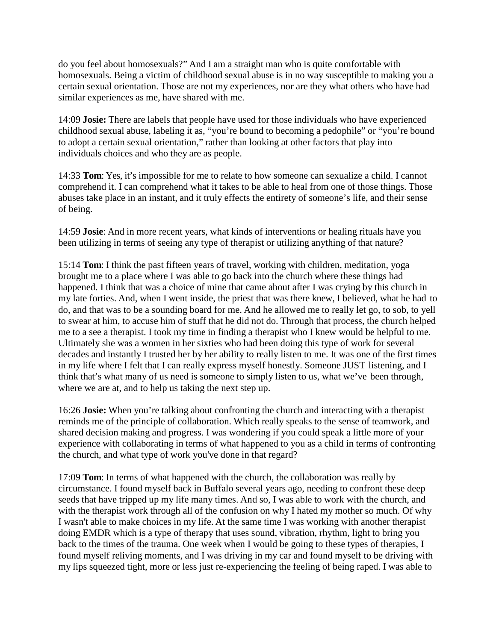do you feel about homosexuals?" And I am a straight man who is quite comfortable with homosexuals. Being a victim of childhood sexual abuse is in no way susceptible to making you a certain sexual orientation. Those are not my experiences, nor are they what others who have had similar experiences as me, have shared with me.

14:09 **Josie:** There are labels that people have used for those individuals who have experienced childhood sexual abuse, labeling it as, "you're bound to becoming a pedophile" or "you're bound to adopt a certain sexual orientation," rather than looking at other factors that play into individuals choices and who they are as people.

14:33 **Tom**: Yes, it's impossible for me to relate to how someone can sexualize a child. I cannot comprehend it. I can comprehend what it takes to be able to heal from one of those things. Those abuses take place in an instant, and it truly effects the entirety of someone's life, and their sense of being.

14:59 **Josie**: And in more recent years, what kinds of interventions or healing rituals have you been utilizing in terms of seeing any type of therapist or utilizing anything of that nature?

15:14 **Tom**: I think the past fifteen years of travel, working with children, meditation, yoga brought me to a place where I was able to go back into the church where these things had happened. I think that was a choice of mine that came about after I was crying by this church in my late forties. And, when I went inside, the priest that was there knew, I believed, what he had to do, and that was to be a sounding board for me. And he allowed me to really let go, to sob, to yell to swear at him, to accuse him of stuff that he did not do. Through that process, the church helped me to a see a therapist. I took my time in finding a therapist who I knew would be helpful to me. Ultimately she was a women in her sixties who had been doing this type of work for several decades and instantly I trusted her by her ability to really listen to me. It was one of the first times in my life where I felt that I can really express myself honestly. Someone JUST listening, and I think that's what many of us need is someone to simply listen to us, what we've been through, where we are at, and to help us taking the next step up.

16:26 **Josie:** When you're talking about confronting the church and interacting with a therapist reminds me of the principle of collaboration. Which really speaks to the sense of teamwork, and shared decision making and progress. I was wondering if you could speak a little more of your experience with collaborating in terms of what happened to you as a child in terms of confronting the church, and what type of work you've done in that regard?

17:09 **Tom**: In terms of what happened with the church, the collaboration was really by circumstance. I found myself back in Buffalo several years ago, needing to confront these deep seeds that have tripped up my life many times. And so, I was able to work with the church, and with the therapist work through all of the confusion on why I hated my mother so much. Of why I wasn't able to make choices in my life. At the same time I was working with another therapist doing EMDR which is a type of therapy that uses sound, vibration, rhythm, light to bring you back to the times of the trauma. One week when I would be going to these types of therapies, I found myself reliving moments, and I was driving in my car and found myself to be driving with my lips squeezed tight, more or less just re-experiencing the feeling of being raped. I was able to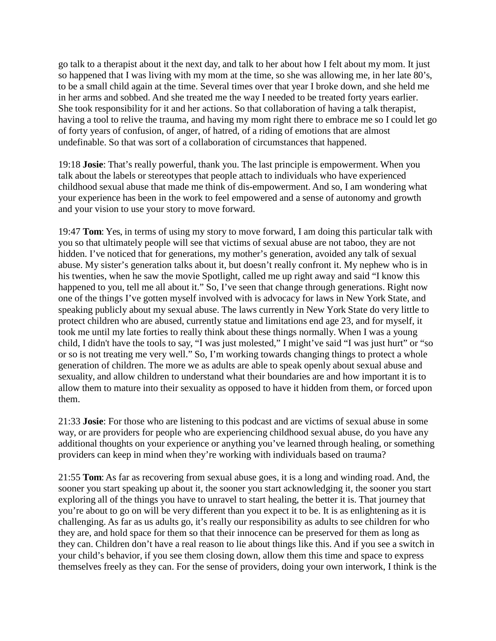go talk to a therapist about it the next day, and talk to her about how I felt about my mom. It just so happened that I was living with my mom at the time, so she was allowing me, in her late 80's, to be a small child again at the time. Several times over that year I broke down, and she held me in her arms and sobbed. And she treated me the way I needed to be treated forty years earlier. She took responsibility for it and her actions. So that collaboration of having a talk therapist, having a tool to relive the trauma, and having my mom right there to embrace me so I could let go of forty years of confusion, of anger, of hatred, of a riding of emotions that are almost undefinable. So that was sort of a collaboration of circumstances that happened.

19:18 **Josie**: That's really powerful, thank you. The last principle is empowerment. When you talk about the labels or stereotypes that people attach to individuals who have experienced childhood sexual abuse that made me think of dis-empowerment. And so, I am wondering what your experience has been in the work to feel empowered and a sense of autonomy and growth and your vision to use your story to move forward.

19:47 **Tom**: Yes, in terms of using my story to move forward, I am doing this particular talk with you so that ultimately people will see that victims of sexual abuse are not taboo, they are not hidden. I've noticed that for generations, my mother's generation, avoided any talk of sexual abuse. My sister's generation talks about it, but doesn't really confront it. My nephew who is in his twenties, when he saw the movie Spotlight, called me up right away and said "I know this happened to you, tell me all about it." So, I've seen that change through generations. Right now one of the things I've gotten myself involved with is advocacy for laws in New York State, and speaking publicly about my sexual abuse. The laws currently in New York State do very little to protect children who are abused, currently statue and limitations end age 23, and for myself, it took me until my late forties to really think about these things normally. When I was a young child, I didn't have the tools to say, "I was just molested," I might've said "I was just hurt" or "so or so is not treating me very well." So, I'm working towards changing things to protect a whole generation of children. The more we as adults are able to speak openly about sexual abuse and sexuality, and allow children to understand what their boundaries are and how important it is to allow them to mature into their sexuality as opposed to have it hidden from them, or forced upon them.

21:33 **Josie**: For those who are listening to this podcast and are victims of sexual abuse in some way, or are providers for people who are experiencing childhood sexual abuse, do you have any additional thoughts on your experience or anything you've learned through healing, or something providers can keep in mind when they're working with individuals based on trauma?

21:55 **Tom**: As far as recovering from sexual abuse goes, it is a long and winding road. And, the sooner you start speaking up about it, the sooner you start acknowledging it, the sooner you start exploring all of the things you have to unravel to start healing, the better it is. That journey that you're about to go on will be very different than you expect it to be. It is as enlightening as it is challenging. As far as us adults go, it's really our responsibility as adults to see children for who they are, and hold space for them so that their innocence can be preserved for them as long as they can. Children don't have a real reason to lie about things like this. And if you see a switch in your child's behavior, if you see them closing down, allow them this time and space to express themselves freely as they can. For the sense of providers, doing your own interwork, I think is the